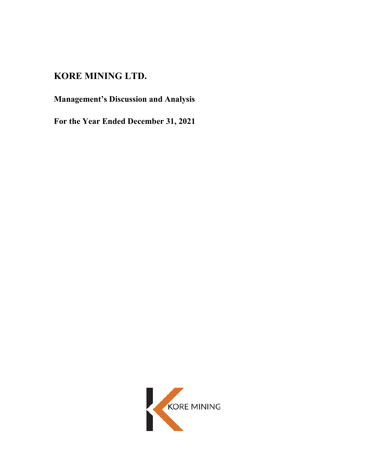# **KORE MINING LTD.**

# **Management's Discussion and Analysis**

**For the Year Ended December 31, 2021**

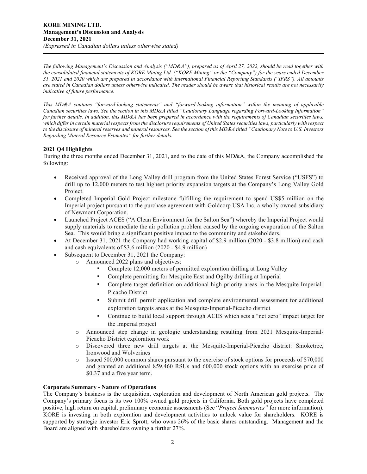*The following Management's Discussion and Analysis ("MD&A"), prepared as of April 27, 2022, should be read together with the consolidated financial statements of KORE Mining Ltd. ("KORE Mining" or the "Company") for the years ended December 31, 2021 and 2020 which are prepared in accordance with International Financial Reporting Standards ("IFRS"). All amounts are stated in Canadian dollars unless otherwise indicated. The reader should be aware that historical results are not necessarily indicative of future performance.*

*This MD&A contains "forward-looking statements" and "forward-looking information" within the meaning of applicable Canadian securities laws. See the section in this MD&A titled "Cautionary Language regarding Forward-Looking Information" for further details. In addition, this MD&A has been prepared in accordance with the requirements of Canadian securities laws, which differ in certain material respects from the disclosure requirements of United States securities laws, particularly with respect to the disclosure of mineral reserves and mineral resources. See the section of this MD&A titled "Cautionary Note to U.S. Investors Regarding Mineral Resource Estimates" for further details.*

## **2021 Q4 Highlights**

During the three months ended December 31, 2021, and to the date of this MD&A, the Company accomplished the following:

- Received approval of the Long Valley drill program from the United States Forest Service ("USFS") to drill up to 12,000 meters to test highest priority expansion targets at the Company's Long Valley Gold Project.
- Completed Imperial Gold Project milestone fulfilling the requirement to spend US\$5 million on the Imperial project pursuant to the purchase agreement with Goldcorp USA Inc, a wholly owned subsidiary of Newmont Corporation.
- Launched Project ACES ("A Clean Environment for the Salton Sea") whereby the Imperial Project would supply materials to remediate the air pollution problem caused by the ongoing evaporation of the Salton Sea. This would bring a significant positive impact to the community and stakeholders.
- At December 31, 2021 the Company had working capital of \$2.9 million (2020 \$3.8 million) and cash and cash equivalents of \$3.6 million (2020 - \$4.9 million)
- Subsequent to December 31, 2021 the Company:
	- o Announced 2022 plans and objectives:
		- Complete 12,000 meters of permitted exploration drilling at Long Valley
		- Complete permitting for Mesquite East and Ogilby drilling at Imperial
		- Complete target definition on additional high priority areas in the Mesquite-Imperial-Picacho District
		- Submit drill permit application and complete environmental assessment for additional exploration targets areas at the Mesquite-Imperial-Picacho district
		- Continue to build local support through ACES which sets a "net zero" impact target for the Imperial project
		- o Announced step change in geologic understanding resulting from 2021 Mesquite-Imperial-Picacho District exploration work
		- o Discovered three new drill targets at the Mesquite-Imperial-Picacho district: Smoketree, Ironwood and Wolverines
		- o Issued 500,000 common shares pursuant to the exercise of stock options for proceeds of \$70,000 and granted an additional 859,460 RSUs and 600,000 stock options with an exercise price of \$0.37 and a five year term.

## **Corporate Summary - Nature of Operations**

The Company's business is the acquisition, exploration and development of North American gold projects. The Company's primary focus is its two 100% owned gold projects in California. Both gold projects have completed positive, high return on capital, preliminary economic assessments (See "*Project Summaries"* for more information). KORE is investing in both exploration and development activities to unlock value for shareholders. KORE is supported by strategic investor Eric Sprott, who owns 26% of the basic shares outstanding. Management and the Board are aligned with shareholders owning a further 27%.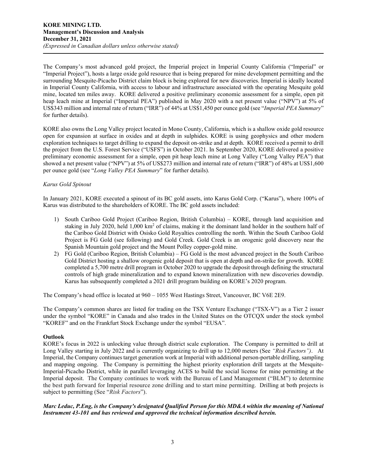The Company's most advanced gold project, the Imperial project in Imperial County California ("Imperial" or "Imperial Project"), hosts a large oxide gold resource that is being prepared for mine development permitting and the surrounding Mesquite-Picacho District claim block is being explored for new discoveries. Imperial is ideally located in Imperial County California, with access to labour and infrastructure associated with the operating Mesquite gold mine, located ten miles away. KORE delivered a positive preliminary economic assessment for a simple, open pit heap leach mine at Imperial ("Imperial PEA") published in May 2020 with a net present value ("NPV") at 5% of US\$343 million and internal rate of return ("IRR") of 44% at US\$1,450 per ounce gold (see "*Imperial PEA Summary*" for further details).

KORE also owns the Long Valley project located in Mono County, California, which is a shallow oxide gold resource open for expansion at surface in oxides and at depth in sulphides. KORE is using geophysics and other modern exploration techniques to target drilling to expand the deposit on-strike and at depth. KORE received a permit to drill the project from the U.S. Forest Service ("USFS") in October 2021. In September 2020, KORE delivered a positive preliminary economic assessment for a simple, open pit heap leach mine at Long Valley ("Long Valley PEA") that showed a net present value ("NPV") at 5% of US\$273 million and internal rate of return ("IRR") of 48% at US\$1,600 per ounce gold (see "*Long Valley PEA Summary*" for further details).

## *Karus Gold Spinout*

In January 2021, KORE executed a spinout of its BC gold assets, into Karus Gold Corp. ("Karus"), where 100% of Karus was distributed to the shareholders of KORE. The BC gold assets included:

- 1) South Cariboo Gold Project (Cariboo Region, British Columbia) KORE, through land acquisition and staking in July 2020, held 1,000 km2 of claims, making it the dominant land holder in the southern half of the Cariboo Gold District with Osisko Gold Royalties controlling the north. Within the South Cariboo Gold Project is FG Gold (see following) and Gold Creek. Gold Creek is an orogenic gold discovery near the Spanish Mountain gold project and the Mount Polley copper-gold mine.
- 2) FG Gold (Cariboo Region, British Columbia) FG Gold is the most advanced project in the South Cariboo Gold District hosting a shallow orogenic gold deposit that is open at depth and on-strike for growth. KORE completed a 5,700 metre drill program in October 2020 to upgrade the deposit through defining the structural controls of high grade mineralization and to expand known mineralization with new discoveries downdip. Karus has subsequently completed a 2021 drill program building on KORE's 2020 program.

The Company's head office is located at 960 – 1055 West Hastings Street, Vancouver, BC V6E 2E9.

The Company's common shares are listed for trading on the TSX Venture Exchange ("TSX-V") as a Tier 2 issuer under the symbol "KORE" in Canada and also trades in the United States on the OTCQX under the stock symbol "KOREF" and on the Frankfurt Stock Exchange under the symbol "EUSA".

## **Outlook**

KORE's focus in 2022 is unlocking value through district scale exploration. The Company is permitted to drill at Long Valley starting in July 2022 and is currently organizing to drill up to 12,000 meters (See *"Risk Factors")*. At Imperial, the Company continues target generation work at Imperial with additional person-portable drilling, sampling and mapping ongoing. The Company is permitting the highest priority exploration drill targets at the Mesquite-Imperial-Picacho District, while in parallel leveraging ACES to build the social license for mine permitting at the Imperial deposit. The Company continues to work with the Bureau of Land Management ("BLM") to determine the best path forward for Imperial resource zone drilling and to start mine permitting. Drilling at both projects is subject to permitting (See "*Risk Factors*").

## *Marc Leduc, P.Eng, is the Company's designated Qualified Person for this MD&A within the meaning of National Instrument 43-101 and has reviewed and approved the technical information described herein.*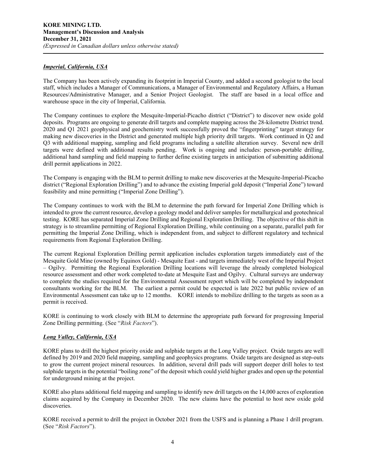#### *Imperial, California, USA*

The Company has been actively expanding its footprint in Imperial County, and added a second geologist to the local staff, which includes a Manager of Communications, a Manager of Environmental and Regulatory Affairs, a Human Resources/Administrative Manager, and a Senior Project Geologist. The staff are based in a local office and warehouse space in the city of Imperial, California.

The Company continues to explore the Mesquite-Imperial-Picacho district ("District") to discover new oxide gold deposits. Programs are ongoing to generate drill targets and complete mapping across the 28-kilometre District trend. 2020 and Q1 2021 geophysical and geochemistry work successfully proved the "fingerprinting" target strategy for making new discoveries in the District and generated multiple high priority drill targets. Work continued in Q2 and Q3 with additional mapping, sampling and field programs including a satellite alteration survey. Several new drill targets were defined with additional results pending. Work is ongoing and includes: person-portable drilling, additional hand sampling and field mapping to further define existing targets in anticipation of submitting additional drill permit applications in 2022.

The Company is engaging with the BLM to permit drilling to make new discoveries at the Mesquite-Imperial-Picacho district ("Regional Exploration Drilling") and to advance the existing Imperial gold deposit ("Imperial Zone") toward feasibility and mine permitting ("Imperial Zone Drilling").

The Company continues to work with the BLM to determine the path forward for Imperial Zone Drilling which is intended to grow the current resource, develop a geology model and deliver samples for metallurgical and geotechnical testing. KORE has separated Imperial Zone Drilling and Regional Exploration Drilling. The objective of this shift in strategy is to streamline permitting of Regional Exploration Drilling, while continuing on a separate, parallel path for permitting the Imperial Zone Drilling, which is independent from, and subject to different regulatory and technical requirements from Regional Exploration Drilling.

The current Regional Exploration Drilling permit application includes exploration targets immediately east of the Mesquite Gold Mine (owned by Equinox Gold) - Mesquite East - and targets immediately west of the Imperial Project – Ogilvy. Permitting the Regional Exploration Drilling locations will leverage the already completed biological resource assessment and other work completed to-date at Mesquite East and Ogilvy. Cultural surveys are underway to complete the studies required for the Environmental Assessment report which will be completed by independent consultants working for the BLM. The earliest a permit could be expected is late 2022 but public review of an Environmental Assessment can take up to 12 months. KORE intends to mobilize drilling to the targets as soon as a permit is received.

KORE is continuing to work closely with BLM to determine the appropriate path forward for progressing Imperial Zone Drilling permitting. (See "*Risk Factors*").

## *Long Valley, California, USA*

KORE plans to drill the highest priority oxide and sulphide targets at the Long Valley project. Oxide targets are well defined by 2019 and 2020 field mapping, sampling and geophysics programs. Oxide targets are designed as step-outs to grow the current project mineral resources. In addition, several drill pads will support deeper drill holes to test sulphide targets in the potential "boiling zone" of the deposit which could yield higher grades and open up the potential for underground mining at the project.

KORE also plans additional field mapping and sampling to identify new drill targets on the 14,000 acres of exploration claims acquired by the Company in December 2020. The new claims have the potential to host new oxide gold discoveries.

KORE received a permit to drill the project in October 2021 from the USFS and is planning a Phase 1 drill program. (See "*Risk Factors*").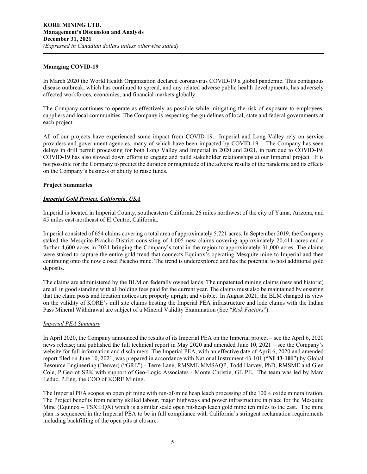#### **Managing COVID-19**

In March 2020 the World Health Organization declared coronavirus COVID-19 a global pandemic. This contagious disease outbreak, which has continued to spread, and any related adverse public health developments, has adversely affected workforces, economies, and financial markets globally.

The Company continues to operate as effectively as possible while mitigating the risk of exposure to employees, suppliers and local communities. The Company is respecting the guidelines of local, state and federal governments at each project.

All of our projects have experienced some impact from COVID-19. Imperial and Long Valley rely on service providers and government agencies, many of which have been impacted by COVID-19. The Company has seen delays in drill permit processing for both Long Valley and Imperial in 2020 and 2021, in part due to COVID-19. COVID-19 has also slowed down efforts to engage and build stakeholder relationships at our Imperial project. It is not possible for the Company to predict the duration or magnitude of the adverse results of the pandemic and its effects on the Company's business or ability to raise funds.

#### **Project Summaries**

## *Imperial Gold Project, California, USA*

Imperial is located in Imperial County, southeastern California 26 miles northwest of the city of Yuma, Arizona, and 45 miles east-northeast of El Centro, California.

Imperial consisted of 654 claims covering a total area of approximately 5,721 acres. In September 2019, the Company staked the Mesquite-Picacho District consisting of 1,005 new claims covering approximately 20,411 acres and a further 4,600 acres in 2021 bringing the Company's total in the region to approximately 31,000 acres. The claims were staked to capture the entire gold trend that connects Equinox's operating Mesquite mine to Imperial and then continuing onto the now closed Picacho mine. The trend is underexplored and has the potential to host additional gold deposits.

The claims are administered by the BLM on federally owned lands. The unpatented mining claims (new and historic) are all in good standing with all holding fees paid for the current year. The claims must also be maintained by ensuring that the claim posts and location notices are properly upright and visible. In August 2021, the BLM changed its view on the validity of KORE's mill site claims hosting the Imperial PEA infrastructure and lode claims with the Indian Pass Mineral Withdrawal are subject of a Mineral Validity Examination (See "*Risk Factors*").

#### *Imperial PEA Summary*

In April 2020, the Company announced the results of its Imperial PEA on the Imperial project – see the April 6, 2020 news release; and published the full technical report in May 2020 and amended June 10, 2021 – see the Company's website for full information and disclaimers. The Imperial PEA, with an effective date of April 6, 2020 and amended report filed on June 10, 2021, was prepared in accordance with National Instrument 43-101 ("**NI 43-101**") by Global Resource Engineering (Denver) ("GRE") - Terre Lane, RMSME MMSAQP, Todd Harvey, PhD, RMSME and Glen Cole, P.Geo of SRK with support of Geo-Logic Associates - Monte Christie, GE PE. The team was led by Marc Leduc, P.Eng. the COO of KORE Mining.

The Imperial PEA scopes an open pit mine with run-of-mine heap leach processing of the 100% oxide mineralization. The Project benefits from nearby skilled labour, major highways and power infrastructure in place for the Mesquite Mine (Equinox – TSX:EQX) which is a similar scale open pit-heap leach gold mine ten miles to the east. The mine plan is sequenced in the Imperial PEA to be in full compliance with California's stringent reclamation requirements including backfilling of the open pits at closure.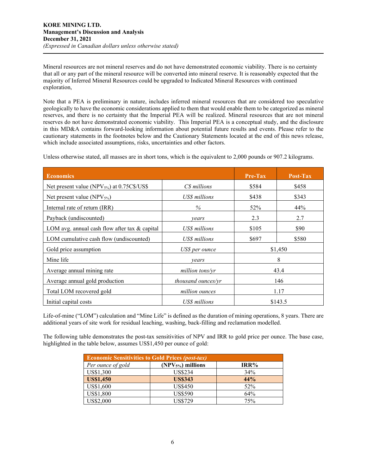Mineral resources are not mineral reserves and do not have demonstrated economic viability. There is no certainty that all or any part of the mineral resource will be converted into mineral reserve. It is reasonably expected that the majority of Inferred Mineral Resources could be upgraded to Indicated Mineral Resources with continued exploration,

Note that a PEA is preliminary in nature, includes inferred mineral resources that are considered too speculative geologically to have the economic considerations applied to them that would enable them to be categorized as mineral reserves, and there is no certainty that the Imperial PEA will be realized. Mineral resources that are not mineral reserves do not have demonstrated economic viability. This Imperial PEA is a conceptual study, and the disclosure in this MD&A contains forward-looking information about potential future results and events. Please refer to the cautionary statements in the footnotes below and the Cautionary Statements located at the end of this news release, which include associated assumptions, risks, uncertainties and other factors.

Unless otherwise stated, all masses are in short tons, which is the equivalent to 2,000 pounds or 907.2 kilograms.

| <b>Economics</b>                                  |                    | <b>Pre-Tax</b> | Post-Tax |  |
|---------------------------------------------------|--------------------|----------------|----------|--|
| Net present value (NPV $_{5\%}$ ) at 0.75C\$/US\$ | C\$ millions       | \$584          | \$458    |  |
| Net present value ( $NPV_{5\%}$ )                 | US\$ millions      | \$438          | \$343    |  |
| Internal rate of return (IRR)                     | $\%$               | 52%            | 44%      |  |
| Payback (undiscounted)                            | years              | 2.3            | 2.7      |  |
| LOM avg. annual cash flow after tax & capital     | US\$ millions      | \$105          | \$90     |  |
| LOM cumulative cash flow (undiscounted)           | US\$ millions      | \$697          | \$580    |  |
| Gold price assumption                             | US\$ per ounce     | \$1,450        |          |  |
| Mine life                                         | vears              |                | 8        |  |
| Average annual mining rate                        | million tons/yr    |                | 43.4     |  |
| Average annual gold production                    | thousand ounces/yr | 146            |          |  |
| Total LOM recovered gold                          | million ounces     | 1.17           |          |  |
| Initial capital costs                             | US\$ millions      |                | \$143.5  |  |

Life-of-mine ("LOM") calculation and "Mine Life" is defined as the duration of mining operations, 8 years. There are additional years of site work for residual leaching, washing, back-filling and reclamation modelled.

The following table demonstrates the post-tax sensitivities of NPV and IRR to gold price per ounce. The base case, highlighted in the table below, assumes US\$1,450 per ounce of gold:

| <b>Economic Sensitivities to Gold Prices (post-tax)</b> |                    |      |  |  |  |  |  |  |
|---------------------------------------------------------|--------------------|------|--|--|--|--|--|--|
| Per ounce of gold                                       | $(NPV5%)$ millions | IRR% |  |  |  |  |  |  |
| US\$1,300                                               | <b>US\$234</b>     | 34%  |  |  |  |  |  |  |
| <b>US\$1,450</b>                                        | <b>US\$343</b>     | 44%  |  |  |  |  |  |  |
| US\$1,600                                               | <b>US\$450</b>     | 52%  |  |  |  |  |  |  |
| US\$1,800                                               | <b>US\$590</b>     | 64%  |  |  |  |  |  |  |
| US\$2,000                                               | <b>US\$729</b>     | 75%  |  |  |  |  |  |  |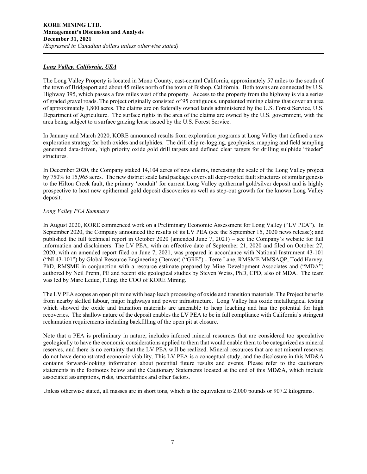#### *Long Valley, California, USA*

The Long Valley Property is located in Mono County, east-central California, approximately 57 miles to the south of the town of Bridgeport and about 45 miles north of the town of Bishop, California. Both towns are connected by U.S. Highway 395, which passes a few miles west of the property. Access to the property from the highway is via a series of graded gravel roads. The project originally consisted of 95 contiguous, unpatented mining claims that cover an area of approximately 1,800 acres. The claims are on federally owned lands administered by the U.S. Forest Service, U.S. Department of Agriculture. The surface rights in the area of the claims are owned by the U.S. government, with the area being subject to a surface grazing lease issued by the U.S. Forest Service.

In January and March 2020, KORE announced results from exploration programs at Long Valley that defined a new exploration strategy for both oxides and sulphides. The drill chip re-logging, geophysics, mapping and field sampling generated data-driven, high priority oxide gold drill targets and defined clear targets for drilling sulphide "feeder" structures.

In December 2020, the Company staked 14,104 acres of new claims, increasing the scale of the Long Valley project by 750% to 15,965 acres. The new district scale land package covers all deep-rooted fault structures of similar genesis to the Hilton Creek fault, the primary 'conduit' for current Long Valley epithermal gold/silver deposit and is highly prospective to host new epithermal gold deposit discoveries as well as step-out growth for the known Long Valley deposit.

#### *Long Valley PEA Summary*

In August 2020, KORE commenced work on a Preliminary Economic Assessment for Long Valley ("LV PEA"). In September 2020, the Company announced the results of its LV PEA (see the September 15, 2020 news release); and published the full technical report in October 2020 (amended June 7, 2021) – see the Company's website for full information and disclaimers. The LV PEA, with an effective date of September 21, 2020 and filed on October 27, 2020, with an amended report filed on June 7, 2021, was prepared in accordance with National Instrument 43-101 ("NI 43-101") by Global Resource Engineering (Denver) ("GRE") - Terre Lane, RMSME MMSAQP, Todd Harvey, PhD, RMSME in conjunction with a resource estimate prepared by Mine Development Associates and ("MDA") authored by Neil Prenn, PE and recent site geological studies by Steven Weiss, PhD, CPD, also of MDA. The team was led by Marc Leduc, P.Eng. the COO of KORE Mining.

The LV PEA scopes an open pit mine with heap leach processing of oxide and transition materials. The Project benefits from nearby skilled labour, major highways and power infrastructure. Long Valley has oxide metallurgical testing which showed the oxide and transition materials are amenable to heap leaching and has the potential for high recoveries. The shallow nature of the deposit enables the LV PEA to be in full compliance with California's stringent reclamation requirements including backfilling of the open pit at closure.

Note that a PEA is preliminary in nature, includes inferred mineral resources that are considered too speculative geologically to have the economic considerations applied to them that would enable them to be categorized as mineral reserves, and there is no certainty that the LV PEA will be realized. Mineral resources that are not mineral reserves do not have demonstrated economic viability. This LV PEA is a conceptual study, and the disclosure in this MD&A contains forward-looking information about potential future results and events. Please refer to the cautionary statements in the footnotes below and the Cautionary Statements located at the end of this MD&A, which include associated assumptions, risks, uncertainties and other factors.

Unless otherwise stated, all masses are in short tons, which is the equivalent to 2,000 pounds or 907.2 kilograms.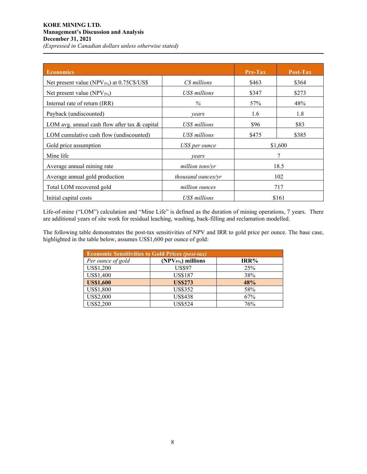## **KORE MINING LTD. Management's Discussion and Analysis December 31, 2021** *(Expressed in Canadian dollars unless otherwise stated)*

| <b>Economics</b>                                  |                    | <b>Pre-Tax</b> | Post-Tax |  |
|---------------------------------------------------|--------------------|----------------|----------|--|
| Net present value (NPV $_{5\%}$ ) at 0.75C\$/US\$ | C\$ millions       | \$463          | \$364    |  |
| Net present value (NPV $_{5\%}$ )                 | US\$ millions      | \$347          | \$273    |  |
| Internal rate of return (IRR)                     | $\%$               | 57%            | 48%      |  |
| Payback (undiscounted)                            | vears              | 1.6            | 1.8      |  |
| LOM avg. annual cash flow after tax $\&$ capital  | US\$ millions      | \$96           | \$83     |  |
| LOM cumulative cash flow (undiscounted)           | US\$ millions      | \$475          | \$385    |  |
| Gold price assumption                             | US\$ per ounce     |                | \$1,600  |  |
| Mine life                                         | vears              |                | 7        |  |
| Average annual mining rate                        | million tons/vr    |                | 18.5     |  |
| Average annual gold production                    | thousand ounces/yr | 102            |          |  |
| Total LOM recovered gold                          | million ounces     |                | 717      |  |
| Initial capital costs                             | US\$ millions      |                | \$161    |  |

Life-of-mine ("LOM") calculation and "Mine Life" is defined as the duration of mining operations, 7 years. There are additional years of site work for residual leaching, washing, back-filling and reclamation modelled.

The following table demonstrates the post-tax sensitivities of NPV and IRR to gold price per ounce. The base case, highlighted in the table below, assumes US\$1,600 per ounce of gold:

| <b>Economic Sensitivities to Gold Prices (post-tax)</b> |                    |      |  |  |  |  |  |  |  |
|---------------------------------------------------------|--------------------|------|--|--|--|--|--|--|--|
| Per ounce of gold                                       | $(NPV5%)$ millions | IRR% |  |  |  |  |  |  |  |
| US\$1,200                                               | <b>US\$97</b>      | 25%  |  |  |  |  |  |  |  |
| US\$1,400                                               | <b>US\$187</b>     | 38%  |  |  |  |  |  |  |  |
| <b>US\$1,600</b>                                        | <b>US\$273</b>     | 48%  |  |  |  |  |  |  |  |
| US\$1,800                                               | <b>US\$352</b>     | 58%  |  |  |  |  |  |  |  |
| US\$2,000                                               | <b>US\$438</b>     | 67%  |  |  |  |  |  |  |  |
| US\$2,200                                               | <b>US\$524</b>     | 76%  |  |  |  |  |  |  |  |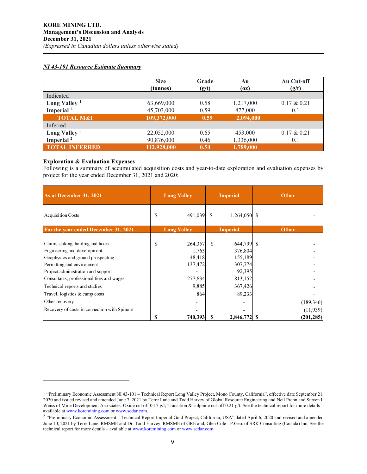#### *NI 43-101 Resource Estimate Summary*

|                       | <b>Size</b><br>(tonnes) | Grade<br>(g/t) | Au<br>(oz) | Au Cut-off<br>(g/t) |
|-----------------------|-------------------------|----------------|------------|---------------------|
| Indicated             |                         |                |            |                     |
| Long Valley $1$       | 63,669,000              | 0.58           | 1,217,000  | $0.17 \& 0.21$      |
| Imperial <sup>2</sup> | 45,703,000              | 0.59           | 877,000    | 0.1                 |
| <b>TOTAL M&amp;I</b>  | 109,372,000             | 0.59           | 2,094,000  |                     |
| Inferred              |                         |                |            |                     |
| Long Valley $1$       | 22,052,000              | 0.65           | 453,000    | $0.17 \& 0.21$      |
| Imperial <sup>2</sup> | 90,876,000              | 0.46           | 1,336,000  | 0.1                 |
| <b>TOTAL INFERRED</b> | 112,928,000             | 0.54           | 1,789,000  |                     |

## **Exploration & Evaluation Expenses**

Following is a summary of accumulated acquisition costs and year-to-date exploration and evaluation expenses by project for the year ended December 31, 2021 and 2020:

| As at December 31, 2021                                                                                                                                                                                               |                                       | <b>Long Valley</b>                               |               | <b>Imperial</b>                                                  |              | <b>Other</b>           |
|-----------------------------------------------------------------------------------------------------------------------------------------------------------------------------------------------------------------------|---------------------------------------|--------------------------------------------------|---------------|------------------------------------------------------------------|--------------|------------------------|
| <b>Acquisition Costs</b>                                                                                                                                                                                              | S                                     | 491,039                                          | <sup>\$</sup> | $1,264,050$ \$                                                   |              |                        |
| For the year ended December 31, 2021                                                                                                                                                                                  | <b>Long Valley</b><br><b>Imperial</b> |                                                  |               |                                                                  | <b>Other</b> |                        |
| Claim, staking, holding and taxes<br>Engineering and development<br>Geophysics and ground prospecting<br>Permitting and environment<br>Project administration and support<br>Consultants, professional fees and wages | \$                                    | 264,357<br>1,763<br>48,418<br>137,472<br>277,634 | \$            | 644,799 \$<br>376,804<br>155,189<br>307,774<br>92,395<br>813,152 |              |                        |
| Technical reports and studies                                                                                                                                                                                         |                                       | 9,885                                            |               | 367,426                                                          |              |                        |
| Travel, logistics & camp costs<br>Other recovery<br>Recovery of costs in connection with Spinout                                                                                                                      |                                       | 864                                              |               | 89,233                                                           |              | (189, 346)<br>(11,939) |
|                                                                                                                                                                                                                       | S                                     | 740,393                                          | S             | 2,846,772 \ \$                                                   |              | (201, 285)             |

<span id="page-8-0"></span><sup>&</sup>lt;sup>1</sup> "Preliminary Economic Assessment NI 43-101 – Technical Report Long Valley Project, Mono County, California", effective date September 21, 2020 and issued revised and amended June 7, 2021 by Terre Lane and Todd Harvey of Global Resource Engineering and Neil Prenn and Steven I. Weiss of Mine Development Associates. Oxide cut off 0.17 g/t; Transition & sulphide cut-off 0.21 g/t. See the technical report for more details – available a[t www.koremining.com](http://www.koremining.com/) o[r www.sedar.com.](http://www.sedar.com/)

<span id="page-8-1"></span><sup>&</sup>lt;sup>2</sup> "Preliminary Economic Assessment – Technical Report Imperial Gold Project, California, USA" dated April 6, 2020 and revised and amended June 10, 2021 by Terre Lane, RMSME and Dr. Todd Harvey, RMSME of GRE and, Glen Cole - P.Geo. of SRK Consulting (Canada) Inc. See the technical report for more details – available a[t www.koremining.com](http://www.koremining.com/) or [www.sedar.com.](http://www.sedar.com/)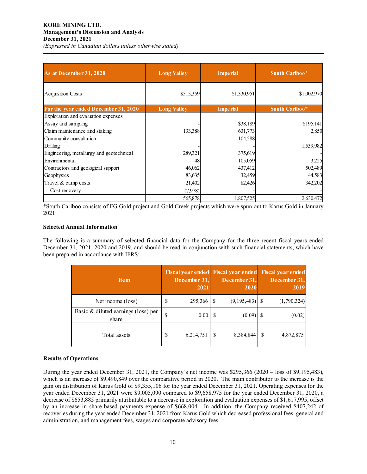| As at December 31, 2020                  | <b>Long Valley</b> | <b>Imperial</b> | South Cariboo* |
|------------------------------------------|--------------------|-----------------|----------------|
| <b>Acquisition Costs</b>                 | \$515,359          | \$1,330,951     | \$1,002,970    |
| For the year ended December 31, 2020     | <b>Long Valley</b> | <b>Imperial</b> | South Cariboo* |
| Exploration and evaluation expenses      |                    |                 |                |
| Assay and sampling                       |                    | \$38,189        | \$195,141      |
| Claim maintenance and staking            | 133,388            | 631,773         | 2,850          |
| Community consultation                   |                    | 104,588         |                |
| Drilling                                 |                    |                 | 1,539,982      |
| Engineering, metallurgy and geotechnical | 289,321            | 375,619         |                |
| Environmental                            | 48                 | 105,059         | 3,225          |
| Contractors and geological support       | 46,062             | 437,412         | 502,489        |
| Geophysics                               | 83,635             | 32,459          | 44,583         |
| Travel & camp costs                      | 21,402             | 82,426          | 342,202        |
| Cost recovery                            | (7,978)            |                 |                |
|                                          | 565,878            | 1,807,525       | 2,630,472      |

\*South Cariboo consists of FG Gold project and Gold Creek projects which were spun out to Karus Gold in January 2021.

## **Selected Annual Information**

The following is a summary of selected financial data for the Company for the three recent fiscal years ended December 31, 2021, 2020 and 2019, and should be read in conjunction with such financial statements, which have been prepared in accordance with IFRS:

| <b>Item</b>                                  |    | December 31,<br>2021 |   | December 31,<br>2020 | Fiscal year ended Fiscal year ended Fiscal year ended<br>December 31,<br>2019 |
|----------------------------------------------|----|----------------------|---|----------------------|-------------------------------------------------------------------------------|
| Net income (loss)                            | \$ | 295,366              |   |                      | (1,790,324)                                                                   |
| Basic & diluted earnings (loss) per<br>share | S  | 0.00                 |   | (0.09)               | (0.02)                                                                        |
| Total assets                                 | \$ | 6,214,751            | S | 8,384,844            | 4,872,875                                                                     |

## **Results of Operations**

During the year ended December 31, 2021, the Company's net income was \$295,366 (2020 – loss of \$9,195,483), which is an increase of \$9,490,849 over the comparative period in 2020. The main contributor to the increase is the gain on distribution of Karus Gold of \$9,355,106 for the year ended December 31, 2021. Operating expenses for the year ended December 31, 2021 were \$9,005,090 compared to \$9,658,975 for the year ended December 31, 2020, a decrease of \$653,885 primarily attributable to a decrease in exploration and evaluation expenses of \$1,617,995, offset by an increase in share-based payments expense of \$668,004. In addition, the Company received \$407,242 of recoveries during the year ended December 31, 2021 from Karus Gold which decreased professional fees, general and administration, and management fees, wages and corporate advisory fees.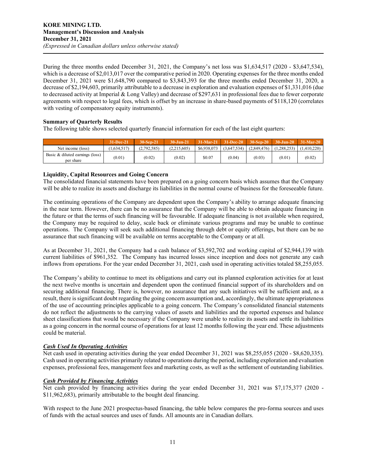During the three months ended December 31, 2021, the Company's net loss was \$1,634,517 (2020 - \$3,647,534), which is a decrease of \$2,013,017 over the comparative period in 2020. Operating expenses for the three months ended December 31, 2021 were \$1,648,790 compared to \$3,843,393 for the three months ended December 31, 2020, a decrease of \$2,194,603, primarily attributable to a decrease in exploration and evaluation expenses of \$1,331,016 (due to decreased activity at Imperial & Long Valley) and decrease of \$297,631 in professional fees due to fewer corporate agreements with respect to legal fees, which is offset by an increase in share-based payments of \$118,120 (correlates with vesting of compensatory equity instruments).

## **Summary of Quarterly Results**

The following table shows selected quarterly financial information for each of the last eight quarters:

|                                              | 31-Dec-21   | 30-Sep-21   | $30 - \frac{1}{2}$ | $31-Mar-21$ $31-Dec-20$ |             | $30-Sen-20$ |                             | $30 - Jun - 20$ 31-Mar-20 |
|----------------------------------------------|-------------|-------------|--------------------|-------------------------|-------------|-------------|-----------------------------|---------------------------|
| Net income (loss)                            | (1.634.517) | (2,792,585) | (2.215.605)        | \$6,938,073             | (3,647,534) | (2,849,476) | $(1,288,253)$ $(1,410,220)$ |                           |
| Basic & diluted earnings (loss)<br>per share | (0.01)      | (0.02)      | (0.02)             | \$0.07                  | (0.04)      | (0.03)      | (0.01)                      | (0.02)                    |

## **Liquidity, Capital Resources and Going Concern**

The consolidated financial statements have been prepared on a going concern basis which assumes that the Company will be able to realize its assets and discharge its liabilities in the normal course of business for the foreseeable future.

The continuing operations of the Company are dependent upon the Company's ability to arrange adequate financing in the near term. However, there can be no assurance that the Company will be able to obtain adequate financing in the future or that the terms of such financing will be favourable. If adequate financing is not available when required, the Company may be required to delay, scale back or eliminate various programs and may be unable to continue operations. The Company will seek such additional financing through debt or equity offerings, but there can be no assurance that such financing will be available on terms acceptable to the Company or at all.

As at December 31, 2021, the Company had a cash balance of \$3,592,702 and working capital of \$2,944,139 with current liabilities of \$961,352. The Company has incurred losses since inception and does not generate any cash inflows from operations. For the year ended December 31, 2021, cash used in operating activities totaled \$8,255,055.

The Company's ability to continue to meet its obligations and carry out its planned exploration activities for at least the next twelve months is uncertain and dependent upon the continued financial support of its shareholders and on securing additional financing. There is, however, no assurance that any such initiatives will be sufficient and, as a result, there is significant doubt regarding the going concern assumption and, accordingly, the ultimate appropriateness of the use of accounting principles applicable to a going concern. The Company's consolidated financial statements do not reflect the adjustments to the carrying values of assets and liabilities and the reported expenses and balance sheet classifications that would be necessary if the Company were unable to realize its assets and settle its liabilities as a going concern in the normal course of operations for at least 12 months following the year end. These adjustments could be material.

## *Cash Used In Operating Activities*

Net cash used in operating activities during the year ended December 31, 2021 was \$8,255,055 (2020 - \$8,620,335). Cash used in operating activities primarily related to operations during the period, including exploration and evaluation expenses, professional fees, management fees and marketing costs, as well as the settlement of outstanding liabilities.

## *Cash Provided by Financing Activities*

Net cash provided by financing activities during the year ended December 31, 2021 was \$7,175,377 (2020 - \$11,962,683), primarily attributable to the bought deal financing.

With respect to the June 2021 prospectus-based financing, the table below compares the pro-forma sources and uses of funds with the actual sources and uses of funds. All amounts are in Canadian dollars.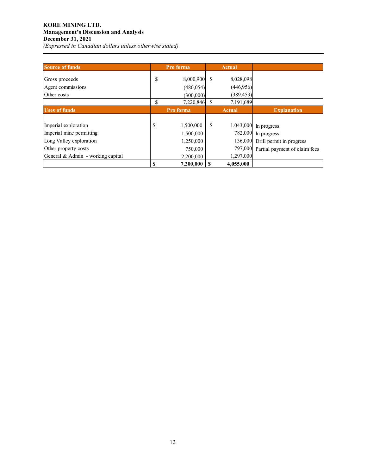## **KORE MINING LTD. Management's Discussion and Analysis December 31, 2021** *(Expressed in Canadian dollars unless otherwise stated)*

| <b>Source of funds</b>                                                                              | Pro forma                                            |    | <b>Actual</b>          |                                                                                                                   |
|-----------------------------------------------------------------------------------------------------|------------------------------------------------------|----|------------------------|-------------------------------------------------------------------------------------------------------------------|
| Gross proceeds<br>Agent commissions                                                                 | \$<br>8,000,900<br>(480, 054)                        | \$ | 8,028,098<br>(446,956) |                                                                                                                   |
| Other costs                                                                                         | (300,000)                                            |    | (389, 453)             |                                                                                                                   |
|                                                                                                     | \$<br>7,220,846                                      | \$ | 7,191,689              |                                                                                                                   |
| <b>Uses of funds</b>                                                                                | Pro forma                                            |    | <b>Actual</b>          | <b>Explanation</b>                                                                                                |
| Imperial exploration<br>Imperial mine permitting<br>Long Valley exploration<br>Other property costs | \$<br>1,500,000<br>1,500,000<br>1,250,000<br>750,000 | \$ | 797,000                | 1,043,000 In progress<br>782,000 In progress<br>136,000 Drill permit in progress<br>Partial payment of claim fees |
| General & Admin - working capital                                                                   | \$<br>2,200,000<br>7,200,000                         |    | 1,297,000<br>4,055,000 |                                                                                                                   |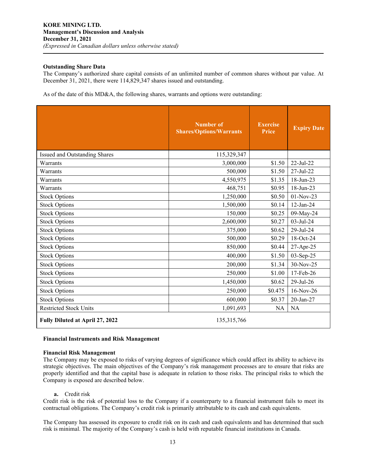#### **Outstanding Share Data**

The Company's authorized share capital consists of an unlimited number of common shares without par value. At December 31, 2021, there were 114,829,347 shares issued and outstanding.

As of the date of this MD&A, the following shares, warrants and options were outstanding:

|                                 | <b>Number of</b><br><b>Shares/Options/Warrants</b> | <b>Exercise</b><br><b>Price</b> | <b>Expiry Date</b> |
|---------------------------------|----------------------------------------------------|---------------------------------|--------------------|
| Issued and Outstanding Shares   | 115,329,347                                        |                                 |                    |
| Warrants                        | 3,000,000                                          | \$1.50                          | $22$ -Jul-22       |
| Warrants                        | 500,000                                            | \$1.50                          | 27-Jul-22          |
| Warrants                        | 4,550,975                                          | \$1.35                          | 18-Jun-23          |
| Warrants                        | 468,751                                            | \$0.95                          | 18-Jun-23          |
| <b>Stock Options</b>            | 1,250,000                                          | \$0.50                          | 01-Nov-23          |
| <b>Stock Options</b>            | 1,500,000                                          | \$0.14                          | 12-Jan-24          |
| <b>Stock Options</b>            | 150,000                                            | \$0.25                          | 09-May-24          |
| <b>Stock Options</b>            | 2,600,000                                          | \$0.27                          | 03-Jul-24          |
| <b>Stock Options</b>            | 375,000                                            | \$0.62                          | 29-Jul-24          |
| <b>Stock Options</b>            | 500,000                                            | \$0.29                          | 18-Oct-24          |
| <b>Stock Options</b>            | 850,000                                            | \$0.44                          | 27-Apr-25          |
| <b>Stock Options</b>            | 400,000                                            | \$1.50                          | 03-Sep-25          |
| <b>Stock Options</b>            | 200,000                                            | \$1.34                          | 30-Nov-25          |
| <b>Stock Options</b>            | 250,000                                            | \$1.00                          | 17-Feb-26          |
| <b>Stock Options</b>            | 1,450,000                                          | \$0.62                          | 29-Jul-26          |
| <b>Stock Options</b>            | 250,000                                            | \$0.475                         | 16-Nov-26          |
| <b>Stock Options</b>            | 600,000                                            | \$0.37                          | 20-Jan-27          |
| <b>Restricted Stock Units</b>   | 1,091,693                                          | <b>NA</b>                       | <b>NA</b>          |
| Fully Diluted at April 27, 2022 | 135,315,766                                        |                                 |                    |

#### **Financial Instruments and Risk Management**

#### **Financial Risk Management**

The Company may be exposed to risks of varying degrees of significance which could affect its ability to achieve its strategic objectives. The main objectives of the Company's risk management processes are to ensure that risks are properly identified and that the capital base is adequate in relation to those risks. The principal risks to which the Company is exposed are described below.

#### **a.** Credit risk

Credit risk is the risk of potential loss to the Company if a counterparty to a financial instrument fails to meet its contractual obligations. The Company's credit risk is primarily attributable to its cash and cash equivalents.

The Company has assessed its exposure to credit risk on its cash and cash equivalents and has determined that such risk is minimal. The majority of the Company's cash is held with reputable financial institutions in Canada.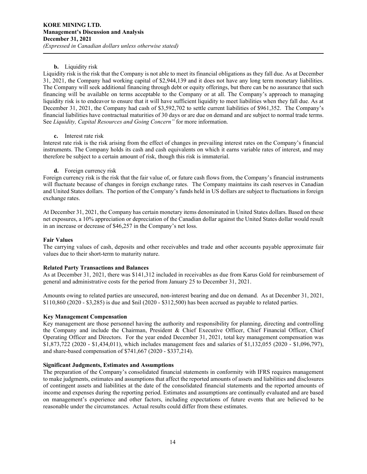#### **b.** Liquidity risk

Liquidity risk is the risk that the Company is not able to meet its financial obligations as they fall due. As at December 31, 2021, the Company had working capital of \$2,944,139 and it does not have any long term monetary liabilities. The Company will seek additional financing through debt or equity offerings, but there can be no assurance that such financing will be available on terms acceptable to the Company or at all. The Company's approach to managing liquidity risk is to endeavor to ensure that it will have sufficient liquidity to meet liabilities when they fall due. As at December 31, 2021, the Company had cash of \$3,592,702 to settle current liabilities of \$961,352. The Company's financial liabilities have contractual maturities of 30 days or are due on demand and are subject to normal trade terms. See *Liquidity, Capital Resources and Going Concern"* for more information.

#### **c.** Interest rate risk

Interest rate risk is the risk arising from the effect of changes in prevailing interest rates on the Company's financial instruments. The Company holds its cash and cash equivalents on which it earns variable rates of interest, and may therefore be subject to a certain amount of risk, though this risk is immaterial.

#### **d.** Foreign currency risk

Foreign currency risk is the risk that the fair value of, or future cash flows from, the Company's financial instruments will fluctuate because of changes in foreign exchange rates. The Company maintains its cash reserves in Canadian and United States dollars. The portion of the Company's funds held in US dollars are subject to fluctuations in foreign exchange rates.

At December 31, 2021, the Company has certain monetary items denominated in United States dollars. Based on these net exposures, a 10% appreciation or depreciation of the Canadian dollar against the United States dollar would result in an increase or decrease of \$46,257 in the Company's net loss.

#### **Fair Values**

The carrying values of cash, deposits and other receivables and trade and other accounts payable approximate fair values due to their short-term to maturity nature.

## **Related Party Transactions and Balances**

As at December 31, 2021, there was \$141,312 included in receivables as due from Karus Gold for reimbursement of general and administrative costs for the period from January 25 to December 31, 2021.

Amounts owing to related parties are unsecured, non-interest bearing and due on demand. As at December 31, 2021, \$110,860 (2020 - \$3,285) is due and \$nil (2020 - \$312,500) has been accrued as payable to related parties.

#### **Key Management Compensation**

Key management are those personnel having the authority and responsibility for planning, directing and controlling the Company and include the Chairman, President & Chief Executive Officer, Chief Financial Officer, Chief Operating Officer and Directors. For the year ended December 31, 2021, total key management compensation was \$1,873,722 (2020 - \$1,434,011), which includes management fees and salaries of \$1,132,055 (2020 - \$1,096,797), and share-based compensation of \$741,667 (2020 - \$337,214).

## **Significant Judgments, Estimates and Assumptions**

The preparation of the Company's consolidated financial statements in conformity with IFRS requires management to make judgments, estimates and assumptions that affect the reported amounts of assets and liabilities and disclosures of contingent assets and liabilities at the date of the consolidated financial statements and the reported amounts of income and expenses during the reporting period. Estimates and assumptions are continually evaluated and are based on management's experience and other factors, including expectations of future events that are believed to be reasonable under the circumstances. Actual results could differ from these estimates.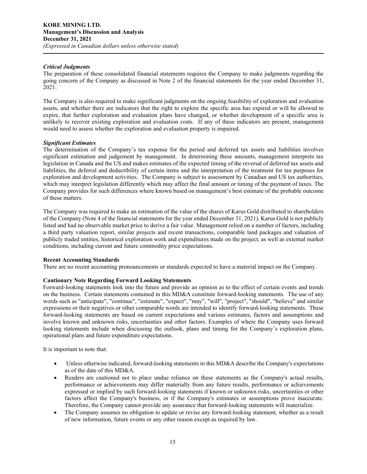#### *Critical Judgments*

The preparation of these consolidated financial statements requires the Company to make judgments regarding the going concern of the Company as discussed in Note 2 of the financial statements for the year ended December 31, 2021.

The Company is also required to make significant judgments on the ongoing feasibility of exploration and evaluation assets, and whether there are indicators that the right to explore the specific area has expired or will be allowed to expire, that further exploration and evaluation plans have changed, or whether development of a specific area is unlikely to recover existing exploration and evaluation costs. If any of these indicators are present, management would need to assess whether the exploration and evaluation property is impaired.

#### *Significant Estimates*

The determination of the Company's tax expense for the period and deferred tax assets and liabilities involves significant estimation and judgement by management. In determining these amounts, management interprets tax legislation in Canada and the US and makes estimates of the expected timing of the reversal of deferred tax assets and liabilities, the deferral and deductibility of certain items and the interpretation of the treatment for tax purposes for exploration and development activities. The Company is subject to assessment by Canadian and US tax authorities, which may interpret legislation differently which may affect the final amount or timing of the payment of taxes. The Company provides for such differences where known based on management's best estimate of the probable outcome of these matters.

The Company was required to make an estimation of the value of the shares of Karus Gold distributed to shareholders of the Company (Note 4 of the financial statements for the year ended December 31, 2021). Karus Gold is not publicly listed and had no observable market price to derive a fair value. Management relied on a number of factors, including a third party valuation report, similar projects and recent transactions, comparable land packages and valuation of publicly traded entities, historical exploration work and expenditures made on the project, as well as external market conditions, including current and future commodity price expectations.

#### **Recent Accounting Standards**

There are no recent accounting pronouncements or standards expected to have a material impact on the Company.

## **Cautionary Note Regarding Forward Looking Statements**

Forward-looking statements look into the future and provide an opinion as to the effect of certain events and trends on the business. Certain statements contained in this MD&A constitute forward-looking statements. The use of any words such as "anticipate", "continue", "estimate", "expect", "may", "will", "project", "should", "believe" and similar expressions or their negatives or other comparable words are intended to identify forward-looking statements. These forward-looking statements are based on current expectations and various estimates, factors and assumptions and involve known and unknown risks, uncertainties and other factors. Examples of where the Company uses forward looking statements include when discussing the outlook, plans and timing for the Company's exploration plans, operational plans and future expenditure expectations.

It is important to note that:

- Unless otherwise indicated, forward-looking statements in this MD&A describe the Company's expectations as of the date of this MD&A.
- Readers are cautioned not to place undue reliance on these statements as the Company's actual results, performance or achievements may differ materially from any future results, performance or achievements expressed or implied by such forward-looking statements if known or unknown risks, uncertainties or other factors affect the Company's business, or if the Company's estimates or assumptions prove inaccurate. Therefore, the Company cannot provide any assurance that forward-looking statements will materialize.
- The Company assumes no obligation to update or revise any forward-looking statement, whether as a result of new information, future events or any other reason except as required by law.